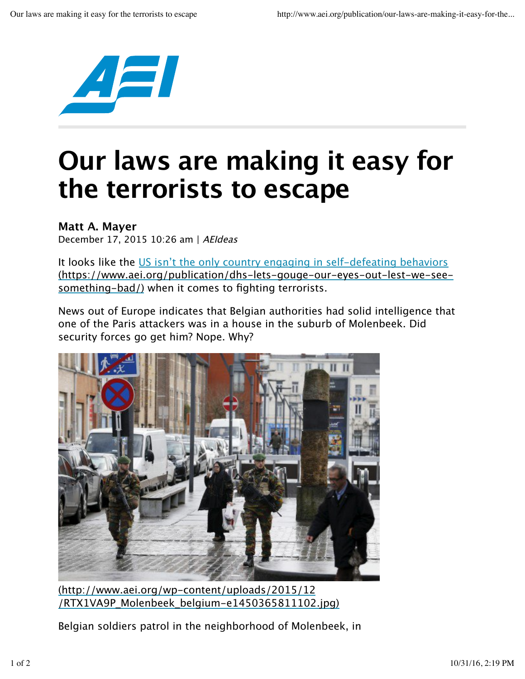

## **Our laws are making it easy for the terrorists to escape**

## **Matt A. Mayer**

December 17, 2015 10:26 am | AEIdeas

It looks like the US isn't the only country engaging in self-defeating behaviors (https://www.aei.org/publication/dhs-lets-gouge-our-eyes-out-lest-we-seesomething-bad/) when it comes to fighting terrorists.

News out of Europe indicates that Belgian authorities had solid intelligence that one of the Paris attackers was in a house in the suburb of Molenbeek. Did security forces go get him? Nope. Why?



(http://www.aei.org/wp-content/uploads/2015/12 /RTX1VA9P\_Molenbeek\_belgium-e1450365811102.jpg)

Belgian soldiers patrol in the neighborhood of Molenbeek, in